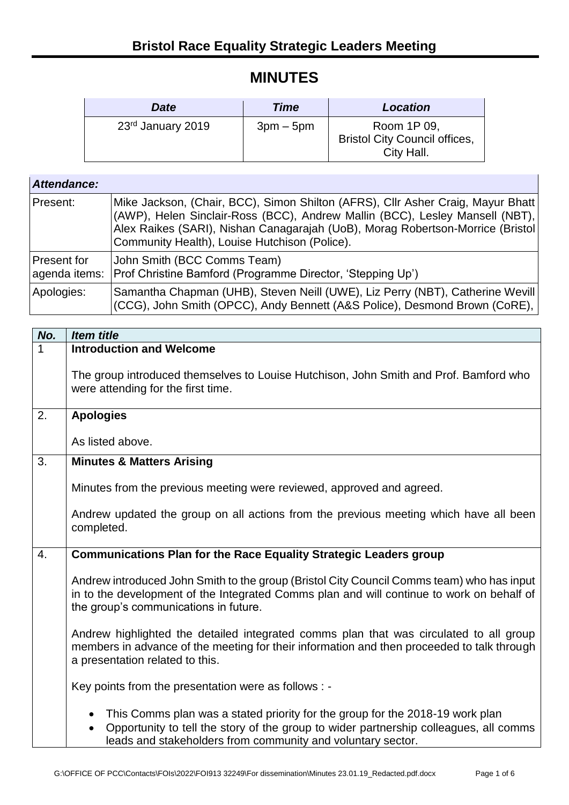## **MINUTES**

| <b>Date</b>       | Time      | <b>Location</b>                                                   |
|-------------------|-----------|-------------------------------------------------------------------|
| 23rd January 2019 | $3pm-5pm$ | Room 1P 09,<br><b>Bristol City Council offices,</b><br>City Hall. |

| Attendance: |                                                                                                                                                                                                                                                                                                    |
|-------------|----------------------------------------------------------------------------------------------------------------------------------------------------------------------------------------------------------------------------------------------------------------------------------------------------|
| Present:    | Mike Jackson, (Chair, BCC), Simon Shilton (AFRS), Cllr Asher Craig, Mayur Bhatt<br>(AWP), Helen Sinclair-Ross (BCC), Andrew Mallin (BCC), Lesley Mansell (NBT),<br>Alex Raikes (SARI), Nishan Canagarajah (UoB), Morag Robertson-Morrice (Bristol<br>Community Health), Louise Hutchison (Police). |
| Present for | John Smith (BCC Comms Team)<br>agenda items: Prof Christine Bamford (Programme Director, 'Stepping Up')                                                                                                                                                                                            |
| Apologies:  | Samantha Chapman (UHB), Steven Neill (UWE), Liz Perry (NBT), Catherine Wevill<br>(CCG), John Smith (OPCC), Andy Bennett (A&S Police), Desmond Brown (CoRE),                                                                                                                                        |

| No. | <b>Item title</b>                                                                                                                                                                                                                                               |
|-----|-----------------------------------------------------------------------------------------------------------------------------------------------------------------------------------------------------------------------------------------------------------------|
| 1   | <b>Introduction and Welcome</b>                                                                                                                                                                                                                                 |
|     | The group introduced themselves to Louise Hutchison, John Smith and Prof. Bamford who<br>were attending for the first time.                                                                                                                                     |
| 2.  | <b>Apologies</b>                                                                                                                                                                                                                                                |
|     | As listed above.                                                                                                                                                                                                                                                |
| 3.  | <b>Minutes &amp; Matters Arising</b>                                                                                                                                                                                                                            |
|     | Minutes from the previous meeting were reviewed, approved and agreed.                                                                                                                                                                                           |
|     | Andrew updated the group on all actions from the previous meeting which have all been<br>completed.                                                                                                                                                             |
| 4.  | <b>Communications Plan for the Race Equality Strategic Leaders group</b>                                                                                                                                                                                        |
|     | Andrew introduced John Smith to the group (Bristol City Council Comms team) who has input<br>in to the development of the Integrated Comms plan and will continue to work on behalf of<br>the group's communications in future.                                 |
|     | Andrew highlighted the detailed integrated comms plan that was circulated to all group<br>members in advance of the meeting for their information and then proceeded to talk through<br>a presentation related to this.                                         |
|     | Key points from the presentation were as follows : -                                                                                                                                                                                                            |
|     | This Comms plan was a stated priority for the group for the 2018-19 work plan<br>$\bullet$<br>Opportunity to tell the story of the group to wider partnership colleagues, all comms<br>$\bullet$<br>leads and stakeholders from community and voluntary sector. |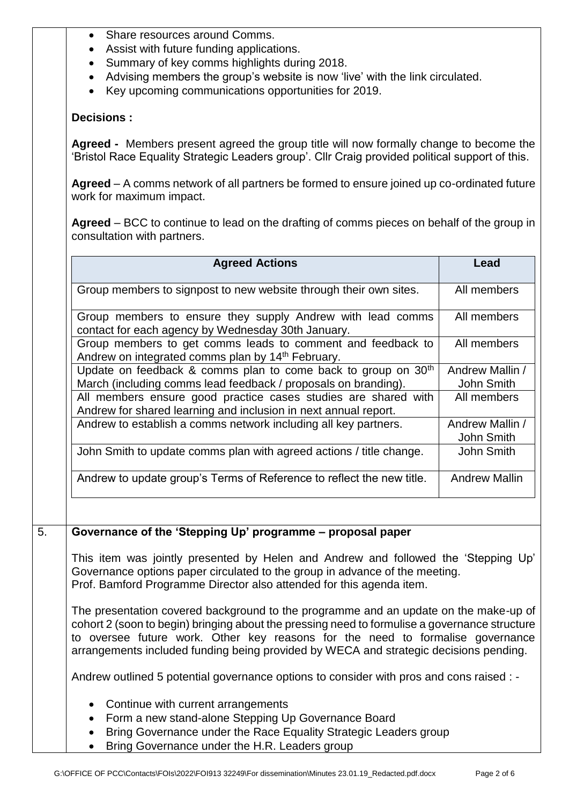- Share resources around Comms.
- Assist with future funding applications.
- Summary of key comms highlights during 2018.
- Advising members the group's website is now 'live' with the link circulated.
- Key upcoming communications opportunities for 2019.

## **Decisions :**

**Agreed -** Members present agreed the group title will now formally change to become the 'Bristol Race Equality Strategic Leaders group'. Cllr Craig provided political support of this.

**Agreed** – A comms network of all partners be formed to ensure joined up co-ordinated future work for maximum impact.

**Agreed** – BCC to continue to lead on the drafting of comms pieces on behalf of the group in consultation with partners.

| <b>Agreed Actions</b>                                                                                                                                                                                                                     | Lead                          |
|-------------------------------------------------------------------------------------------------------------------------------------------------------------------------------------------------------------------------------------------|-------------------------------|
| Group members to signpost to new website through their own sites.                                                                                                                                                                         | All members                   |
| Group members to ensure they supply Andrew with lead comms<br>contact for each agency by Wednesday 30th January.                                                                                                                          | All members                   |
| Group members to get comms leads to comment and feedback to<br>Andrew on integrated comms plan by 14 <sup>th</sup> February.                                                                                                              | All members                   |
| Update on feedback & comms plan to come back to group on 30 <sup>th</sup><br>March (including comms lead feedback / proposals on branding).                                                                                               | Andrew Mallin /<br>John Smith |
| All members ensure good practice cases studies are shared with<br>Andrew for shared learning and inclusion in next annual report.                                                                                                         | All members                   |
| Andrew to establish a comms network including all key partners.                                                                                                                                                                           | Andrew Mallin /<br>John Smith |
| John Smith to update comms plan with agreed actions / title change.                                                                                                                                                                       | John Smith                    |
| Andrew to update group's Terms of Reference to reflect the new title.                                                                                                                                                                     | <b>Andrew Mallin</b>          |
|                                                                                                                                                                                                                                           |                               |
| Governance of the 'Stepping Up' programme - proposal paper                                                                                                                                                                                |                               |
| This item was jointly presented by Helen and Andrew and followed the 'Stepping Up'<br>Governance options paper circulated to the group in advance of the meeting.<br>Prof. Bamford Programme Director also attended for this agenda item. |                               |

The presentation covered background to the programme and an update on the make-up of cohort 2 (soon to begin) bringing about the pressing need to formulise a governance structure to oversee future work. Other key reasons for the need to formalise governance arrangements included funding being provided by WECA and strategic decisions pending.

Andrew outlined 5 potential governance options to consider with pros and cons raised : -

- Continue with current arrangements
- Form a new stand-alone Stepping Up Governance Board
- Bring Governance under the Race Equality Strategic Leaders group
- Bring Governance under the H.R. Leaders group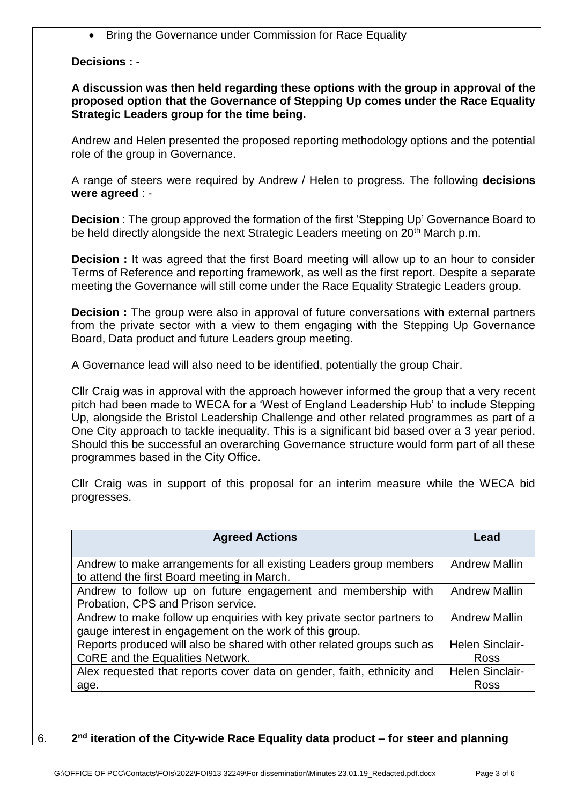Bring the Governance under Commission for Race Equality

## **Decisions : -**

**A discussion was then held regarding these options with the group in approval of the proposed option that the Governance of Stepping Up comes under the Race Equality Strategic Leaders group for the time being.**

Andrew and Helen presented the proposed reporting methodology options and the potential role of the group in Governance.

A range of steers were required by Andrew / Helen to progress. The following **decisions were agreed** : -

**Decision** : The group approved the formation of the first 'Stepping Up' Governance Board to be held directly alongside the next Strategic Leaders meeting on 20<sup>th</sup> March p.m.

**Decision :** It was agreed that the first Board meeting will allow up to an hour to consider Terms of Reference and reporting framework, as well as the first report. Despite a separate meeting the Governance will still come under the Race Equality Strategic Leaders group.

**Decision :** The group were also in approval of future conversations with external partners from the private sector with a view to them engaging with the Stepping Up Governance Board, Data product and future Leaders group meeting.

A Governance lead will also need to be identified, potentially the group Chair.

Cllr Craig was in approval with the approach however informed the group that a very recent pitch had been made to WECA for a 'West of England Leadership Hub' to include Stepping Up, alongside the Bristol Leadership Challenge and other related programmes as part of a One City approach to tackle inequality. This is a significant bid based over a 3 year period. Should this be successful an overarching Governance structure would form part of all these programmes based in the City Office.

Cllr Craig was in support of this proposal for an interim measure while the WECA bid progresses.

| <b>Agreed Actions</b>                                                                                                             | Lead                                  |
|-----------------------------------------------------------------------------------------------------------------------------------|---------------------------------------|
| Andrew to make arrangements for all existing Leaders group members<br>to attend the first Board meeting in March.                 | <b>Andrew Mallin</b>                  |
| Andrew to follow up on future engagement and membership with<br>Probation, CPS and Prison service.                                | <b>Andrew Mallin</b>                  |
| Andrew to make follow up enquiries with key private sector partners to<br>gauge interest in engagement on the work of this group. | <b>Andrew Mallin</b>                  |
| Reports produced will also be shared with other related groups such as<br>CoRE and the Equalities Network.                        | <b>Helen Sinclair-</b><br><b>Ross</b> |
| Alex requested that reports cover data on gender, faith, ethnicity and<br>age.                                                    | <b>Helen Sinclair-</b><br><b>Ross</b> |

6. **2<sup>nd</sup> iteration of the City-wide Race Equality data product – for steer and planning**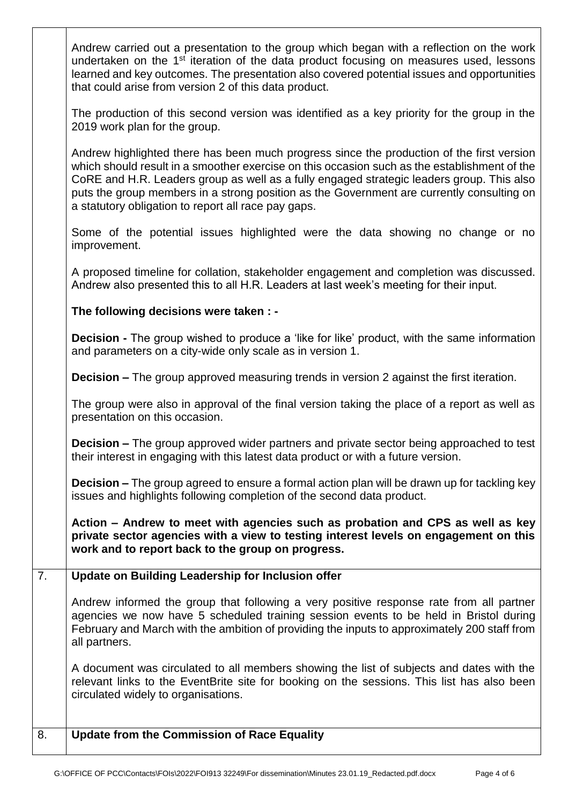| $\overline{8}$ . | <b>Update from the Commission of Race Equality</b>                                                                                                                                                                                                                                                                                                                                                                                         |
|------------------|--------------------------------------------------------------------------------------------------------------------------------------------------------------------------------------------------------------------------------------------------------------------------------------------------------------------------------------------------------------------------------------------------------------------------------------------|
|                  | A document was circulated to all members showing the list of subjects and dates with the<br>relevant links to the EventBrite site for booking on the sessions. This list has also been<br>circulated widely to organisations.                                                                                                                                                                                                              |
|                  | Andrew informed the group that following a very positive response rate from all partner<br>agencies we now have 5 scheduled training session events to be held in Bristol during<br>February and March with the ambition of providing the inputs to approximately 200 staff from<br>all partners.                                                                                                                                          |
| $\overline{7}$ . | Update on Building Leadership for Inclusion offer                                                                                                                                                                                                                                                                                                                                                                                          |
|                  | Action – Andrew to meet with agencies such as probation and CPS as well as key<br>private sector agencies with a view to testing interest levels on engagement on this<br>work and to report back to the group on progress.                                                                                                                                                                                                                |
|                  | <b>Decision –</b> The group agreed to ensure a formal action plan will be drawn up for tackling key<br>issues and highlights following completion of the second data product.                                                                                                                                                                                                                                                              |
|                  | <b>Decision –</b> The group approved wider partners and private sector being approached to test<br>their interest in engaging with this latest data product or with a future version.                                                                                                                                                                                                                                                      |
|                  | The group were also in approval of the final version taking the place of a report as well as<br>presentation on this occasion.                                                                                                                                                                                                                                                                                                             |
|                  | <b>Decision –</b> The group approved measuring trends in version 2 against the first iteration.                                                                                                                                                                                                                                                                                                                                            |
|                  | <b>Decision</b> - The group wished to produce a 'like for like' product, with the same information<br>and parameters on a city-wide only scale as in version 1.                                                                                                                                                                                                                                                                            |
|                  | The following decisions were taken : -                                                                                                                                                                                                                                                                                                                                                                                                     |
|                  | A proposed timeline for collation, stakeholder engagement and completion was discussed.<br>Andrew also presented this to all H.R. Leaders at last week's meeting for their input.                                                                                                                                                                                                                                                          |
|                  | Some of the potential issues highlighted were the data showing no change or no<br>improvement.                                                                                                                                                                                                                                                                                                                                             |
|                  | Andrew highlighted there has been much progress since the production of the first version<br>which should result in a smoother exercise on this occasion such as the establishment of the<br>CoRE and H.R. Leaders group as well as a fully engaged strategic leaders group. This also<br>puts the group members in a strong position as the Government are currently consulting on<br>a statutory obligation to report all race pay gaps. |
|                  | The production of this second version was identified as a key priority for the group in the<br>2019 work plan for the group.                                                                                                                                                                                                                                                                                                               |
|                  | Andrew carried out a presentation to the group which began with a reflection on the work<br>undertaken on the 1 <sup>st</sup> iteration of the data product focusing on measures used, lessons<br>learned and key outcomes. The presentation also covered potential issues and opportunities<br>that could arise from version 2 of this data product.                                                                                      |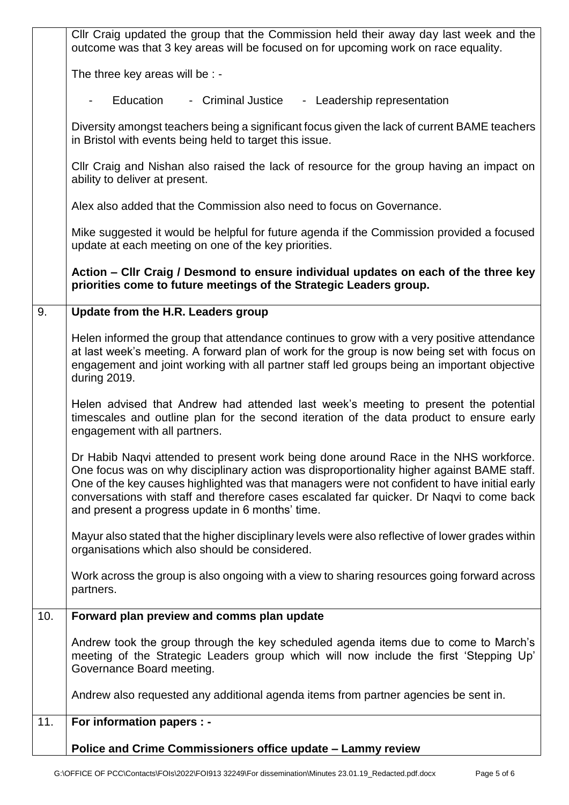|     | CIIr Craig updated the group that the Commission held their away day last week and the<br>outcome was that 3 key areas will be focused on for upcoming work on race equality.                                                                                                                                                                                                                                                       |
|-----|-------------------------------------------------------------------------------------------------------------------------------------------------------------------------------------------------------------------------------------------------------------------------------------------------------------------------------------------------------------------------------------------------------------------------------------|
|     | The three key areas will be : -                                                                                                                                                                                                                                                                                                                                                                                                     |
|     | Education<br>- Criminal Justice<br>- Leadership representation                                                                                                                                                                                                                                                                                                                                                                      |
|     | Diversity amongst teachers being a significant focus given the lack of current BAME teachers<br>in Bristol with events being held to target this issue.                                                                                                                                                                                                                                                                             |
|     | Cllr Craig and Nishan also raised the lack of resource for the group having an impact on<br>ability to deliver at present.                                                                                                                                                                                                                                                                                                          |
|     | Alex also added that the Commission also need to focus on Governance.                                                                                                                                                                                                                                                                                                                                                               |
|     | Mike suggested it would be helpful for future agenda if the Commission provided a focused<br>update at each meeting on one of the key priorities.                                                                                                                                                                                                                                                                                   |
|     | Action – Cllr Craig / Desmond to ensure individual updates on each of the three key<br>priorities come to future meetings of the Strategic Leaders group.                                                                                                                                                                                                                                                                           |
| 9.  | Update from the H.R. Leaders group                                                                                                                                                                                                                                                                                                                                                                                                  |
|     | Helen informed the group that attendance continues to grow with a very positive attendance<br>at last week's meeting. A forward plan of work for the group is now being set with focus on<br>engagement and joint working with all partner staff led groups being an important objective<br>during 2019.                                                                                                                            |
|     | Helen advised that Andrew had attended last week's meeting to present the potential<br>timescales and outline plan for the second iteration of the data product to ensure early<br>engagement with all partners.                                                                                                                                                                                                                    |
|     | Dr Habib Naqvi attended to present work being done around Race in the NHS workforce.<br>One focus was on why disciplinary action was disproportionality higher against BAME staff.<br>One of the key causes highlighted was that managers were not confident to have initial early<br>conversations with staff and therefore cases escalated far quicker. Dr Naqvi to come back<br>and present a progress update in 6 months' time. |
|     | Mayur also stated that the higher disciplinary levels were also reflective of lower grades within<br>organisations which also should be considered.                                                                                                                                                                                                                                                                                 |
|     | Work across the group is also ongoing with a view to sharing resources going forward across<br>partners.                                                                                                                                                                                                                                                                                                                            |
| 10. | Forward plan preview and comms plan update                                                                                                                                                                                                                                                                                                                                                                                          |
|     | Andrew took the group through the key scheduled agenda items due to come to March's<br>meeting of the Strategic Leaders group which will now include the first 'Stepping Up'<br>Governance Board meeting.                                                                                                                                                                                                                           |
|     | Andrew also requested any additional agenda items from partner agencies be sent in.                                                                                                                                                                                                                                                                                                                                                 |
| 11. | For information papers : -                                                                                                                                                                                                                                                                                                                                                                                                          |
|     | Police and Crime Commissioners office update - Lammy review                                                                                                                                                                                                                                                                                                                                                                         |